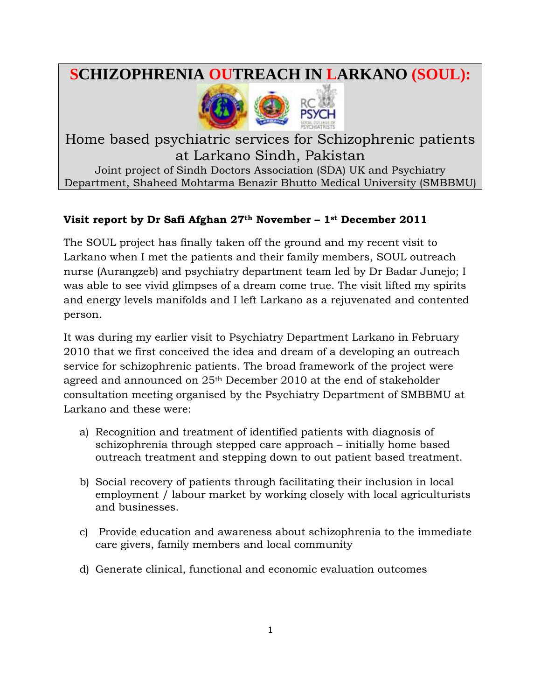# **SCHIZOPHRENIA OUTREACH IN LARKANO (SOUL):**



## Home based psychiatric services for Schizophrenic patients at Larkano Sindh, Pakistan Joint project of Sindh Doctors Association (SDA) UK and Psychiatry Department, Shaheed Mohtarma Benazir Bhutto Medical University (SMBBMU)

## **Visit report by Dr Safi Afghan 27th November – 1st December 2011**

The SOUL project has finally taken off the ground and my recent visit to Larkano when I met the patients and their family members, SOUL outreach nurse (Aurangzeb) and psychiatry department team led by Dr Badar Junejo; I was able to see vivid glimpses of a dream come true. The visit lifted my spirits and energy levels manifolds and I left Larkano as a rejuvenated and contented person.

It was during my earlier visit to Psychiatry Department Larkano in February 2010 that we first conceived the idea and dream of a developing an outreach service for schizophrenic patients. The broad framework of the project were agreed and announced on 25th December 2010 at the end of stakeholder consultation meeting organised by the Psychiatry Department of SMBBMU at Larkano and these were:

- a) Recognition and treatment of identified patients with diagnosis of schizophrenia through stepped care approach – initially home based outreach treatment and stepping down to out patient based treatment.
- b) Social recovery of patients through facilitating their inclusion in local employment / labour market by working closely with local agriculturists and businesses.
- c) Provide education and awareness about schizophrenia to the immediate care givers, family members and local community
- d) Generate clinical, functional and economic evaluation outcomes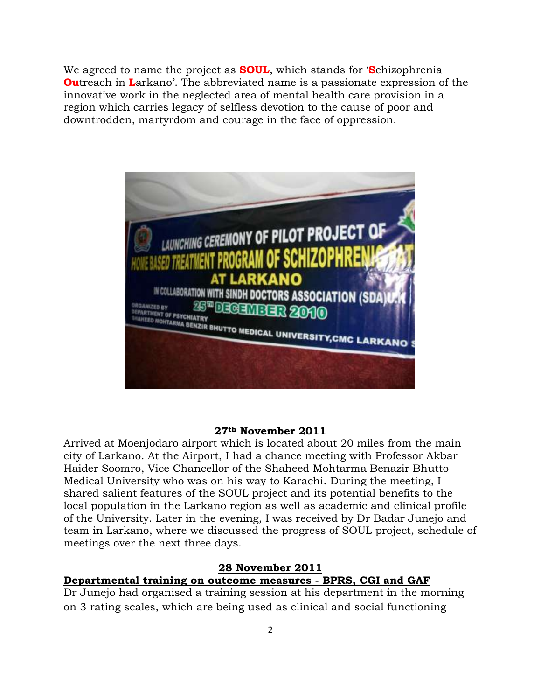We agreed to name the project as **SOUL**, which stands for '**S**chizophrenia **Ou**treach in **L**arkano'. The abbreviated name is a passionate expression of the innovative work in the neglected area of mental health care provision in a region which carries legacy of selfless devotion to the cause of poor and downtrodden, martyrdom and courage in the face of oppression.



#### **27th November 2011**

Arrived at Moenjodaro airport which is located about 20 miles from the main city of Larkano. At the Airport, I had a chance meeting with Professor Akbar Haider Soomro, Vice Chancellor of the Shaheed Mohtarma Benazir Bhutto Medical University who was on his way to Karachi. During the meeting, I shared salient features of the SOUL project and its potential benefits to the local population in the Larkano region as well as academic and clinical profile of the University. Later in the evening, I was received by Dr Badar Junejo and team in Larkano, where we discussed the progress of SOUL project, schedule of meetings over the next three days.

#### **28 November 2011**

#### **Departmental training on outcome measures - BPRS, CGI and GAF**

Dr Junejo had organised a training session at his department in the morning on 3 rating scales, which are being used as clinical and social functioning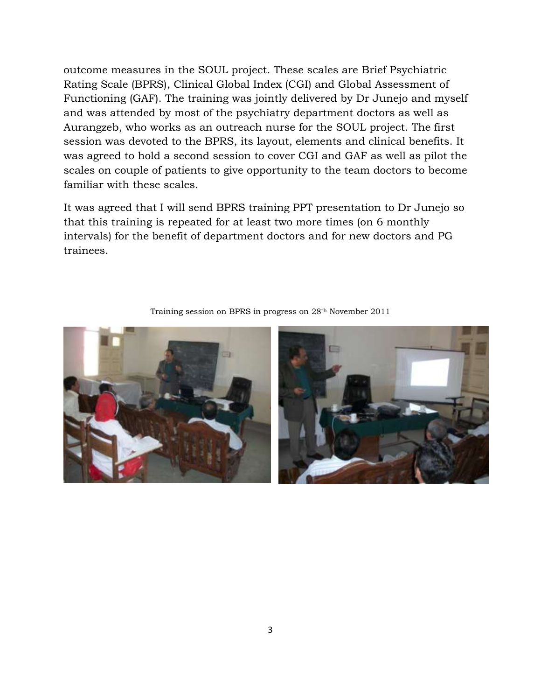outcome measures in the SOUL project. These scales are Brief Psychiatric Rating Scale (BPRS), Clinical Global Index (CGI) and Global Assessment of Functioning (GAF). The training was jointly delivered by Dr Junejo and myself and was attended by most of the psychiatry department doctors as well as Aurangzeb, who works as an outreach nurse for the SOUL project. The first session was devoted to the BPRS, its layout, elements and clinical benefits. It was agreed to hold a second session to cover CGI and GAF as well as pilot the scales on couple of patients to give opportunity to the team doctors to become familiar with these scales.

It was agreed that I will send BPRS training PPT presentation to Dr Junejo so that this training is repeated for at least two more times (on 6 monthly intervals) for the benefit of department doctors and for new doctors and PG trainees.



Training session on BPRS in progress on 28th November 2011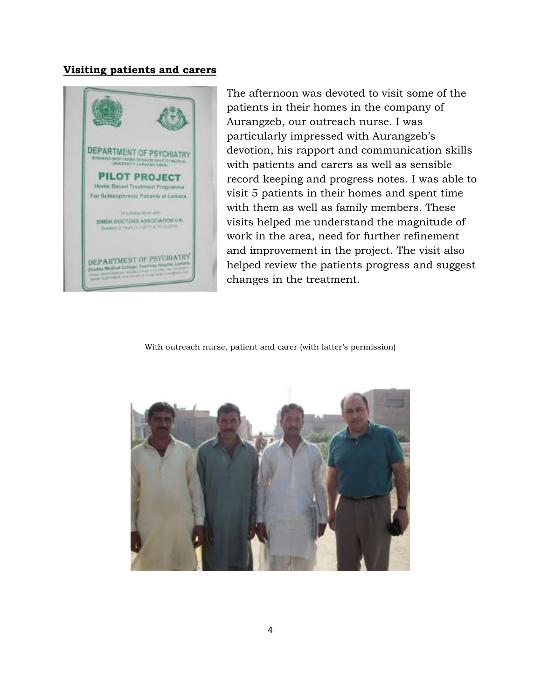#### **Visiting patients and carers**



The afternoon was devoted to visit some of the patients in their homes in the company of Aurangzeb, our outreach nurse. I was particularly impressed with Aurangzeb's devotion, his rapport and communication skills with patients and carers as well as sensible record keeping and progress notes. I was able to visit 5 patients in their homes and spent time with them as well as family members. These visits helped me understand the magnitude of work in the area, need for further refinement and improvement in the project. The visit also helped review the patients progress and suggest changes in the treatment.

With outreach nurse, patient and carer (with latter's permission)

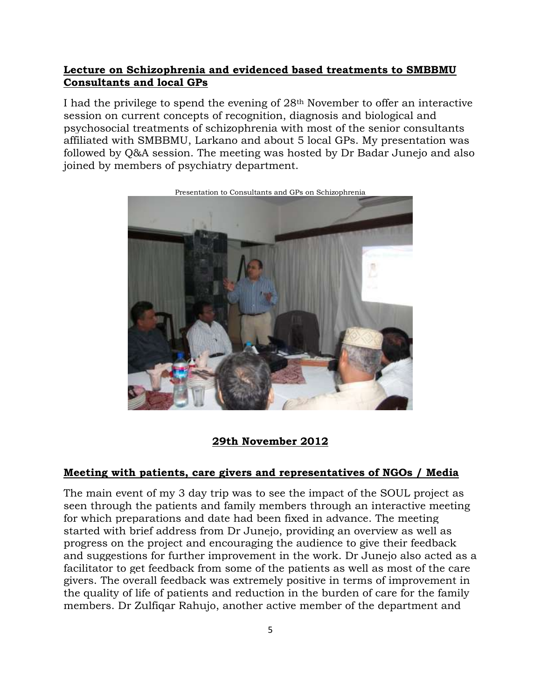#### **Lecture on Schizophrenia and evidenced based treatments to SMBBMU Consultants and local GPs**

I had the privilege to spend the evening of 28th November to offer an interactive session on current concepts of recognition, diagnosis and biological and psychosocial treatments of schizophrenia with most of the senior consultants affiliated with SMBBMU, Larkano and about 5 local GPs. My presentation was followed by Q&A session. The meeting was hosted by Dr Badar Junejo and also joined by members of psychiatry department.



Presentation to Consultants and GPs on Schizophrenia

#### **29th November 2012**

#### **Meeting with patients, care givers and representatives of NGOs / Media**

The main event of my 3 day trip was to see the impact of the SOUL project as seen through the patients and family members through an interactive meeting for which preparations and date had been fixed in advance. The meeting started with brief address from Dr Junejo, providing an overview as well as progress on the project and encouraging the audience to give their feedback and suggestions for further improvement in the work. Dr Junejo also acted as a facilitator to get feedback from some of the patients as well as most of the care givers. The overall feedback was extremely positive in terms of improvement in the quality of life of patients and reduction in the burden of care for the family members. Dr Zulfiqar Rahujo, another active member of the department and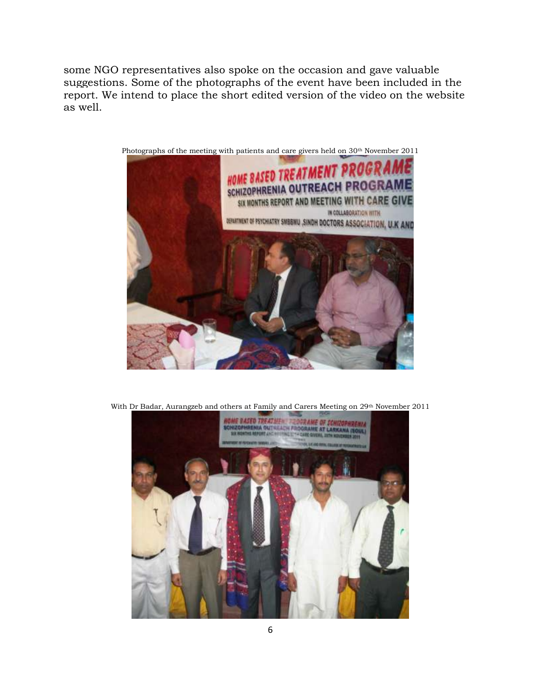some NGO representatives also spoke on the occasion and gave valuable suggestions. Some of the photographs of the event have been included in the report. We intend to place the short edited version of the video on the website as well.



Photographs of the meeting with patients and care givers held on 30<sup>th</sup> November 2011



With Dr Badar, Aurangzeb and others at Family and Carers Meeting on 29th November 2011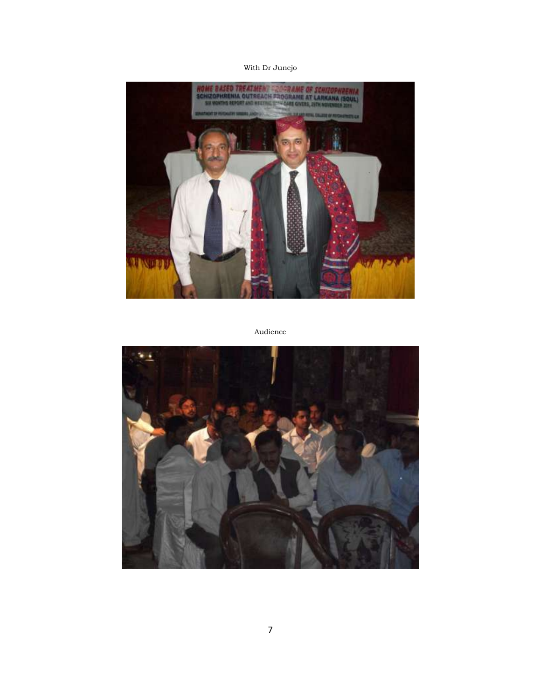#### With Dr Junejo



Audience

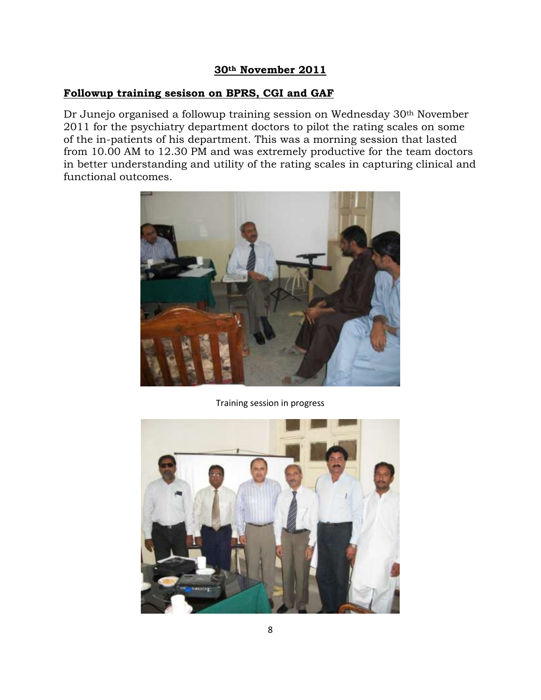## **30th November 2011**

## **Followup training sesison on BPRS, CGI and GAF**

Dr Junejo organised a followup training session on Wednesday 30<sup>th</sup> November 2011 for the psychiatry department doctors to pilot the rating scales on some of the in-patients of his department. This was a morning session that lasted from 10.00 AM to 12.30 PM and was extremely productive for the team doctors in better understanding and utility of the rating scales in capturing clinical and functional outcomes.



Training session in progress

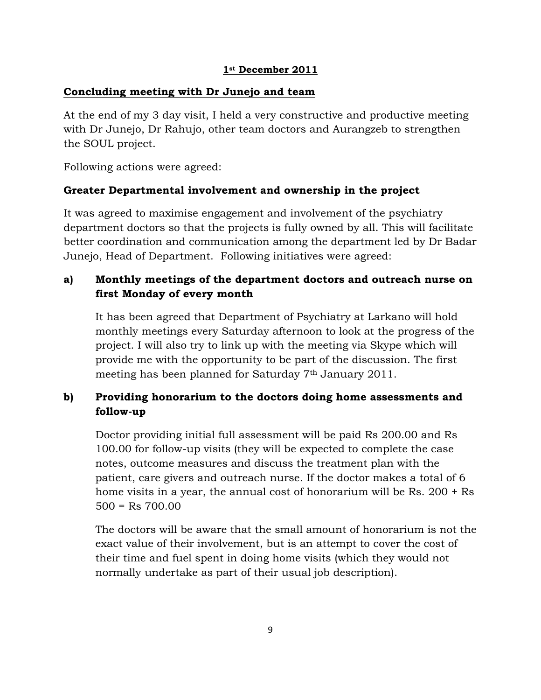#### **1st December 2011**

#### **Concluding meeting with Dr Junejo and team**

At the end of my 3 day visit, I held a very constructive and productive meeting with Dr Junejo, Dr Rahujo, other team doctors and Aurangzeb to strengthen the SOUL project.

Following actions were agreed:

## **Greater Departmental involvement and ownership in the project**

It was agreed to maximise engagement and involvement of the psychiatry department doctors so that the projects is fully owned by all. This will facilitate better coordination and communication among the department led by Dr Badar Junejo, Head of Department. Following initiatives were agreed:

## **a) Monthly meetings of the department doctors and outreach nurse on first Monday of every month**

It has been agreed that Department of Psychiatry at Larkano will hold monthly meetings every Saturday afternoon to look at the progress of the project. I will also try to link up with the meeting via Skype which will provide me with the opportunity to be part of the discussion. The first meeting has been planned for Saturday 7th January 2011.

## **b) Providing honorarium to the doctors doing home assessments and follow-up**

Doctor providing initial full assessment will be paid Rs 200.00 and Rs 100.00 for follow-up visits (they will be expected to complete the case notes, outcome measures and discuss the treatment plan with the patient, care givers and outreach nurse. If the doctor makes a total of 6 home visits in a year, the annual cost of honorarium will be Rs. 200 + Rs  $500 = Rs \, 700.00$ 

The doctors will be aware that the small amount of honorarium is not the exact value of their involvement, but is an attempt to cover the cost of their time and fuel spent in doing home visits (which they would not normally undertake as part of their usual job description).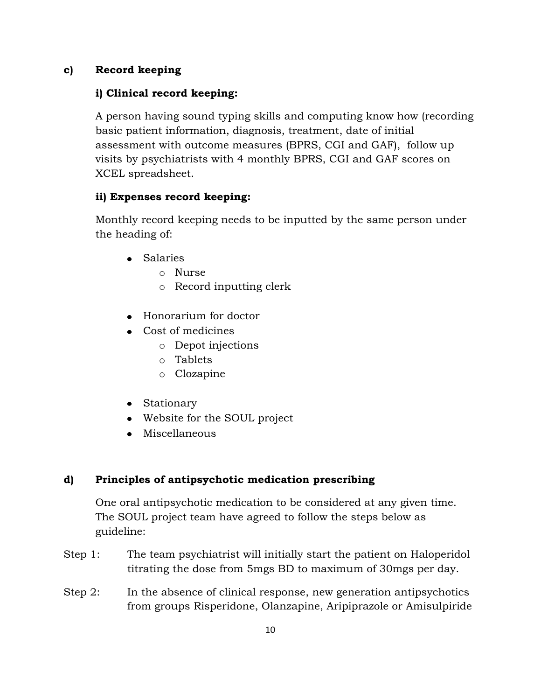#### **c) Record keeping**

#### **i) Clinical record keeping:**

A person having sound typing skills and computing know how (recording basic patient information, diagnosis, treatment, date of initial assessment with outcome measures (BPRS, CGI and GAF), follow up visits by psychiatrists with 4 monthly BPRS, CGI and GAF scores on XCEL spreadsheet.

## **ii) Expenses record keeping:**

Monthly record keeping needs to be inputted by the same person under the heading of:

- Salaries
	- o Nurse
	- o Record inputting clerk
- Honorarium for doctor
- Cost of medicines
	- o Depot injections
	- o Tablets
	- o Clozapine
- Stationary
- Website for the SOUL project
- Miscellaneous

#### **d) Principles of antipsychotic medication prescribing**

One oral antipsychotic medication to be considered at any given time. The SOUL project team have agreed to follow the steps below as guideline:

- Step 1: The team psychiatrist will initially start the patient on Haloperidol titrating the dose from 5mgs BD to maximum of 30mgs per day.
- Step 2: In the absence of clinical response, new generation antipsychotics from groups Risperidone, Olanzapine, Aripiprazole or Amisulpiride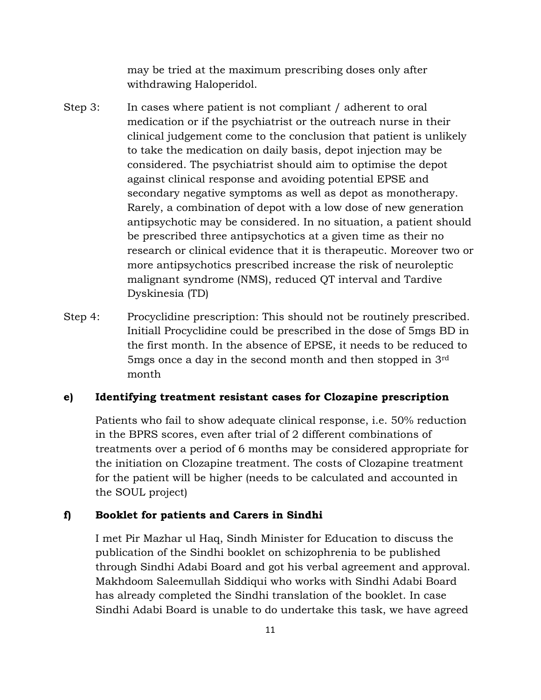may be tried at the maximum prescribing doses only after withdrawing Haloperidol.

- Step 3: In cases where patient is not compliant / adherent to oral medication or if the psychiatrist or the outreach nurse in their clinical judgement come to the conclusion that patient is unlikely to take the medication on daily basis, depot injection may be considered. The psychiatrist should aim to optimise the depot against clinical response and avoiding potential EPSE and secondary negative symptoms as well as depot as monotherapy. Rarely, a combination of depot with a low dose of new generation antipsychotic may be considered. In no situation, a patient should be prescribed three antipsychotics at a given time as their no research or clinical evidence that it is therapeutic. Moreover two or more antipsychotics prescribed increase the risk of neuroleptic malignant syndrome (NMS), reduced QT interval and Tardive Dyskinesia (TD)
- Step 4: Procyclidine prescription: This should not be routinely prescribed. Initiall Procyclidine could be prescribed in the dose of 5mgs BD in the first month. In the absence of EPSE, it needs to be reduced to 5mgs once a day in the second month and then stopped in 3rd month

#### **e) Identifying treatment resistant cases for Clozapine prescription**

Patients who fail to show adequate clinical response, i.e. 50% reduction in the BPRS scores, even after trial of 2 different combinations of treatments over a period of 6 months may be considered appropriate for the initiation on Clozapine treatment. The costs of Clozapine treatment for the patient will be higher (needs to be calculated and accounted in the SOUL project)

#### **f) Booklet for patients and Carers in Sindhi**

I met Pir Mazhar ul Haq, Sindh Minister for Education to discuss the publication of the Sindhi booklet on schizophrenia to be published through Sindhi Adabi Board and got his verbal agreement and approval. Makhdoom Saleemullah Siddiqui who works with Sindhi Adabi Board has already completed the Sindhi translation of the booklet. In case Sindhi Adabi Board is unable to do undertake this task, we have agreed